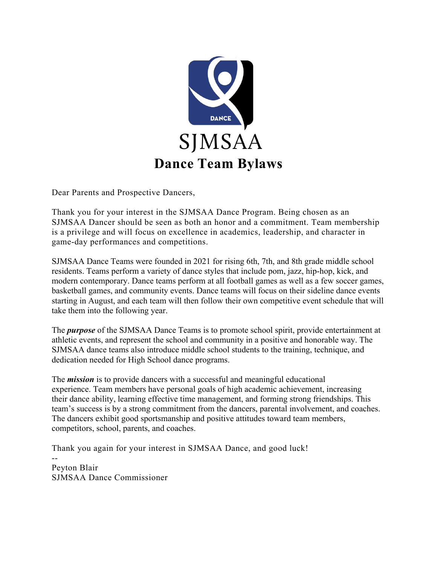

Dear Parents and Prospective Dancers,

Thank you for your interest in the SJMSAA Dance Program. Being chosen as an SJMSAA Dancer should be seen as both an honor and a commitment. Team membership is a privilege and will focus on excellence in academics, leadership, and character in game-day performances and competitions.

SJMSAA Dance Teams were founded in 2021 for rising 6th, 7th, and 8th grade middle school residents. Teams perform a variety of dance styles that include pom, jazz, hip-hop, kick, and modern contemporary. Dance teams perform at all football games as well as a few soccer games, basketball games, and community events. Dance teams will focus on their sideline dance events starting in August, and each team will then follow their own competitive event schedule that will take them into the following year.

The *purpose* of the SJMSAA Dance Teams is to promote school spirit, provide entertainment at athletic events, and represent the school and community in a positive and honorable way. The SJMSAA dance teams also introduce middle school students to the training, technique, and dedication needed for High School dance programs.

The *mission* is to provide dancers with a successful and meaningful educational experience. Team members have personal goals of high academic achievement, increasing their dance ability, learning effective time management, and forming strong friendships. This team's success is by a strong commitment from the dancers, parental involvement, and coaches. The dancers exhibit good sportsmanship and positive attitudes toward team members, competitors, school, parents, and coaches.

Thank you again for your interest in SJMSAA Dance, and good luck!

-- Peyton Blair SJMSAA Dance Commissioner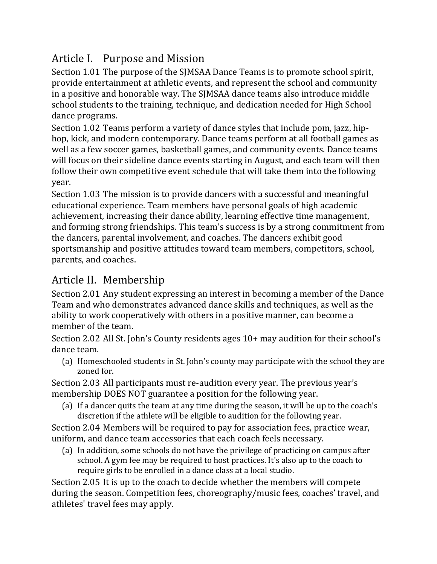# Article I. Purpose and Mission

Section 1.01 The purpose of the SJMSAA Dance Teams is to promote school spirit, provide entertainment at athletic events, and represent the school and community in a positive and honorable way. The SJMSAA dance teams also introduce middle school students to the training, technique, and dedication needed for High School dance programs.

Section 1.02 Teams perform a variety of dance styles that include pom, jazz, hiphop, kick, and modern contemporary. Dance teams perform at all football games as well as a few soccer games, basketball games, and community events. Dance teams will focus on their sideline dance events starting in August, and each team will then follow their own competitive event schedule that will take them into the following year.

Section 1.03 The mission is to provide dancers with a successful and meaningful educational experience. Team members have personal goals of high academic achievement, increasing their dance ability, learning effective time management, and forming strong friendships. This team's success is by a strong commitment from the dancers, parental involvement, and coaches. The dancers exhibit good sportsmanship and positive attitudes toward team members, competitors, school, parents, and coaches.

# Article II. Membership

Section 2.01 Any student expressing an interest in becoming a member of the Dance Team and who demonstrates advanced dance skills and techniques, as well as the ability to work cooperatively with others in a positive manner, can become a member of the team.

Section 2.02 All St. John's County residents ages 10+ may audition for their school's dance team.

(a) Homeschooled students in St. John's county may participate with the school they are zoned for.

Section 2.03 All participants must re-audition every year. The previous year's membership DOES NOT guarantee a position for the following year.

(a) If a dancer quits the team at any time during the season, it will be up to the coach's discretion if the athlete will be eligible to audition for the following year.

Section 2.04 Members will be required to pay for association fees, practice wear, uniform, and dance team accessories that each coach feels necessary.

(a) In addition, some schools do not have the privilege of practicing on campus after school. A gym fee may be required to host practices. It's also up to the coach to require girls to be enrolled in a dance class at a local studio.

Section 2.05 It is up to the coach to decide whether the members will compete during the season. Competition fees, choreography/music fees, coaches' travel, and athletes' travel fees may apply.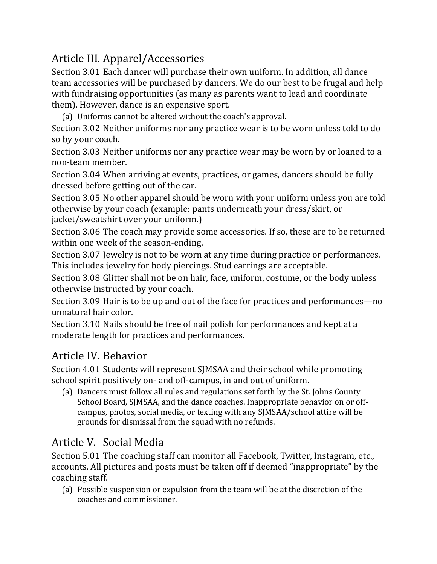# Article III. Apparel/Accessories

Section 3.01 Each dancer will purchase their own uniform. In addition, all dance team accessories will be purchased by dancers. We do our best to be frugal and help with fundraising opportunities (as many as parents want to lead and coordinate them). However, dance is an expensive sport.

(a) Uniforms cannot be altered without the coach's approval.

Section 3.02 Neither uniforms nor any practice wear is to be worn unless told to do so by your coach.

Section 3.03 Neither uniforms nor any practice wear may be worn by or loaned to a non-team member.

Section 3.04 When arriving at events, practices, or games, dancers should be fully dressed before getting out of the car.

Section 3.05 No other apparel should be worn with your uniform unless you are told otherwise by your coach (example: pants underneath your dress/skirt, or jacket/sweatshirt over your uniform.)

Section 3.06 The coach may provide some accessories. If so, these are to be returned within one week of the season-ending.

Section 3.07 Jewelry is not to be worn at any time during practice or performances. This includes jewelry for body piercings. Stud earrings are acceptable.

Section 3.08 Glitter shall not be on hair, face, uniform, costume, or the body unless otherwise instructed by your coach.

Section 3.09 Hair is to be up and out of the face for practices and performances—no unnatural hair color.

Section 3.10 Nails should be free of nail polish for performances and kept at a moderate length for practices and performances.

## Article IV. Behavior

Section 4.01 Students will represent SJMSAA and their school while promoting school spirit positively on- and off-campus, in and out of uniform.

(a) Dancers must follow all rules and regulations set forth by the St. Johns County School Board, SJMSAA, and the dance coaches. Inappropriate behavior on or offcampus, photos, social media, or texting with any SJMSAA/school attire will be grounds for dismissal from the squad with no refunds.

## Article V. Social Media

Section 5.01 The coaching staff can monitor all Facebook, Twitter, Instagram, etc., accounts. All pictures and posts must be taken off if deemed "inappropriate" by the coaching staff.

(a) Possible suspension or expulsion from the team will be at the discretion of the coaches and commissioner.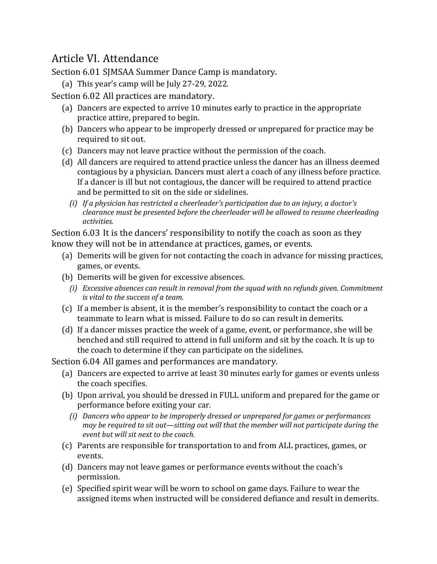#### Article VI. Attendance

Section 6.01 SJMSAA Summer Dance Camp is mandatory.

(a) This year's camp will be July 27-29, 2022.

Section 6.02 All practices are mandatory.

- (a) Dancers are expected to arrive 10 minutes early to practice in the appropriate practice attire, prepared to begin.
- (b) Dancers who appear to be improperly dressed or unprepared for practice may be required to sit out.
- (c) Dancers may not leave practice without the permission of the coach.
- (d) All dancers are required to attend practice unless the dancer has an illness deemed contagious by a physician. Dancers must alert a coach of any illness before practice. If a dancer is ill but not contagious, the dancer will be required to attend practice and be permitted to sit on the side or sidelines.
	- *(i)* If a physician has restricted a cheerleader's participation due to an injury, a doctor's *clearance must be presented before the cheerleader will be allowed to resume cheerleading activities.*

Section 6.03 It is the dancers' responsibility to notify the coach as soon as they know they will not be in attendance at practices, games, or events.

- (a) Demerits will be given for not contacting the coach in advance for missing practices, games, or events.
- (b) Demerits will be given for excessive absences.
	- *(i) Excessive absences can result in removal from the squad with no refunds given. Commitment is* vital to the success of a team.
- (c) If a member is absent, it is the member's responsibility to contact the coach or a teammate to learn what is missed. Failure to do so can result in demerits.
- (d) If a dancer misses practice the week of a game, event, or performance, she will be benched and still required to attend in full uniform and sit by the coach. It is up to the coach to determine if they can participate on the sidelines.

Section 6.04 All games and performances are mandatory.

- (a) Dancers are expected to arrive at least 30 minutes early for games or events unless the coach specifies.
- (b) Upon arrival, you should be dressed in FULL uniform and prepared for the game or performance before exiting your car.
	- *(i)* Dancers who appear to be improperly dressed or unprepared for games or performances *may* be required to sit out—sitting out will that the member will not participate during the *event but will sit next to the coach.*
- (c) Parents are responsible for transportation to and from ALL practices, games, or events.
- (d) Dancers may not leave games or performance events without the coach's permission.
- (e) Specified spirit wear will be worn to school on game days. Failure to wear the assigned items when instructed will be considered defiance and result in demerits.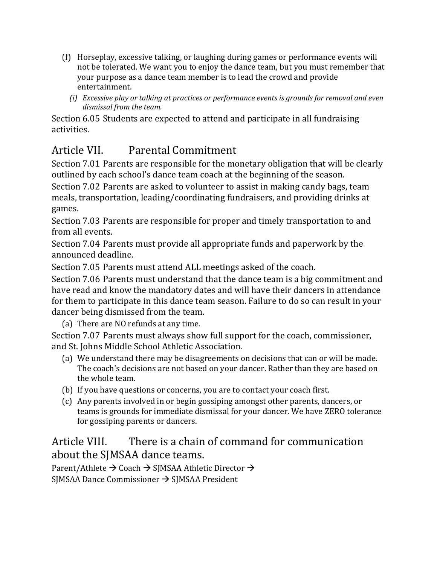- (f) Horseplay, excessive talking, or laughing during games or performance events will not be tolerated. We want you to enjoy the dance team, but you must remember that your purpose as a dance team member is to lead the crowd and provide entertainment.
	- *(i) Excessive play or talking at practices or performance events is grounds for removal and even* dismissal from the team.

Section 6.05 Students are expected to attend and participate in all fundraising activities. 

# Article VII. Parental Commitment

Section 7.01 Parents are responsible for the monetary obligation that will be clearly outlined by each school's dance team coach at the beginning of the season.

Section 7.02 Parents are asked to volunteer to assist in making candy bags, team meals, transportation, leading/coordinating fundraisers, and providing drinks at games.

Section 7.03 Parents are responsible for proper and timely transportation to and from all events.

Section 7.04 Parents must provide all appropriate funds and paperwork by the announced deadline.

Section 7.05 Parents must attend ALL meetings asked of the coach.

Section 7.06 Parents must understand that the dance team is a big commitment and have read and know the mandatory dates and will have their dancers in attendance for them to participate in this dance team season. Failure to do so can result in your dancer being dismissed from the team.

(a) There are NO refunds at any time.

Section 7.07 Parents must always show full support for the coach, commissioner, and St. Johns Middle School Athletic Association.

- (a) We understand there may be disagreements on decisions that can or will be made. The coach's decisions are not based on your dancer. Rather than they are based on the whole team.
- (b) If you have questions or concerns, you are to contact your coach first.
- (c) Any parents involved in or begin gossiping amongst other parents, dancers, or teams is grounds for immediate dismissal for your dancer. We have ZERO tolerance for gossiping parents or dancers.

#### Article VIII. There is a chain of command for communication about the SJMSAA dance teams.

Parent/Athlete  $\rightarrow$  Coach  $\rightarrow$  SJMSAA Athletic Director  $\rightarrow$ SJMSAA Dance Commissioner  $\rightarrow$  SJMSAA President